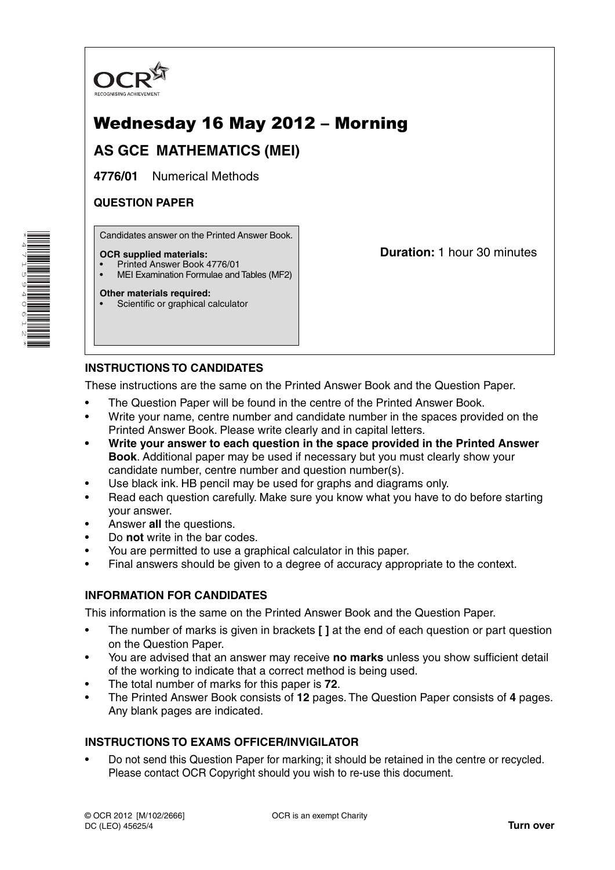

# Wednesday 16 May 2012 – Morning

## **AS GCE MATHEMATICS (MEI)**

**4776/01** Numerical Methods

## **QUESTION PAPER**

Candidates answer on the Printed Answer Book.

### **OCR supplied materials:**

- Printed Answer Book 4776/01
- MEI Examination Formulae and Tables (MF2)

### **Other materials required:**

Scientific or graphical calculator

**Duration:** 1 hour 30 minutes

### **INSTRUCTIONS TO CANDIDATES**

These instructions are the same on the Printed Answer Book and the Question Paper.

- The Question Paper will be found in the centre of the Printed Answer Book.
- Write your name, centre number and candidate number in the spaces provided on the Printed Answer Book. Please write clearly and in capital letters.
- **Write your answer to each question in the space provided in the Printed Answer Book**. Additional paper may be used if necessary but you must clearly show your candidate number, centre number and question number(s).
- Use black ink. HB pencil may be used for graphs and diagrams only.
- Read each question carefully. Make sure you know what you have to do before starting your answer.
- Answer **all** the questions.
- Do **not** write in the bar codes.
- You are permitted to use a graphical calculator in this paper.
- Final answers should be given to a degree of accuracy appropriate to the context.

### **INFORMATION FOR CANDIDATES**

This information is the same on the Printed Answer Book and the Question Paper.

- The number of marks is given in brackets **[ ]** at the end of each question or part question on the Question Paper.
- You are advised that an answer may receive **no marks** unless you show sufficient detail of the working to indicate that a correct method is being used.
- The total number of marks for this paper is **72**.
- The Printed Answer Book consists of **12** pages. The Question Paper consists of **4** pages. Any blank pages are indicated.

### **INSTRUCTIONS TO EXAMS OFFICER/INVIGILATOR**

• Do not send this Question Paper for marking; it should be retained in the centre or recycled. Please contact OCR Copyright should you wish to re-use this document.

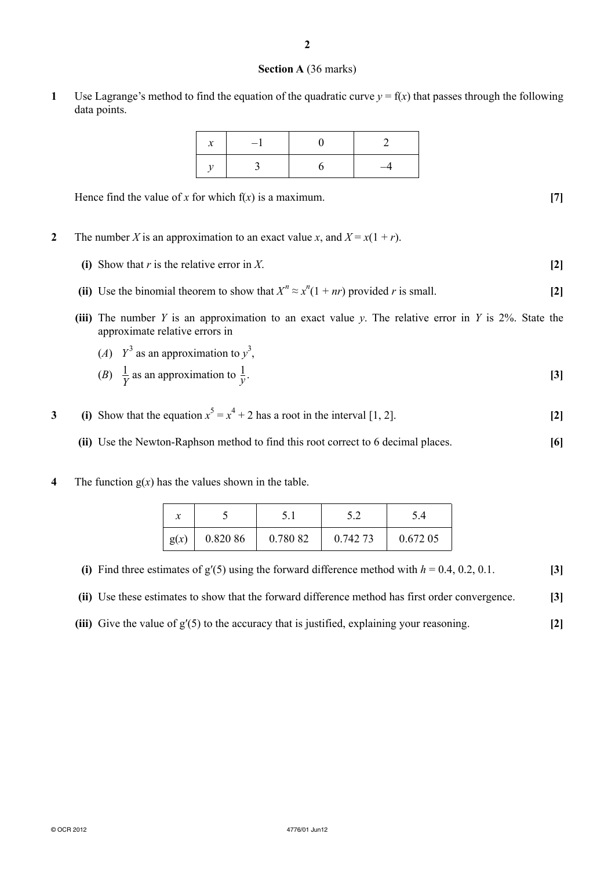### **Section A** (36 marks)

**1** Use Lagrange's method to find the equation of the quadratic curve  $y = f(x)$  that passes through the following data points.

| $\qquad \qquad -$ |  |  |  |
|-------------------|--|--|--|
|                   |  |  |  |

Hence find the value of *x* for which  $f(x)$  is a maximum. [7]

- **2** The number *X* is an approximation to an exact value *x*, and  $X = x(1 + r)$ .
	- **(i)** Show that *r* is the relative error in *X*. **[2]**
- **(ii)** Use the binomial theorem to show that  $X^n \approx x^n(1 + nr)$  provided *r* is small. [2]
	- **(iii)** The number *Y* is an approximation to an exact value *y*. The relative error in *Y* is 2%. State the approximate relative errors in

\n- (A) 
$$
Y^3
$$
 as an approximation to  $y^3$ ,
\n- (B)  $\frac{1}{Y}$  as an approximation to  $\frac{1}{Y}$ .
\n
\n[3]

- **3** (i) Show that the equation  $x^5 = x^4 + 2$  has a root in the interval [1, 2].
	- **(ii)** Use the Newton-Raphson method to find this root correct to 6 decimal places. **[6]**
- **4** The function  $g(x)$  has the values shown in the table.

| $\boldsymbol{x}$ |          |          |          |          |  |
|------------------|----------|----------|----------|----------|--|
| g(x)             | 0.820 86 | 0.780 82 | 0.742 73 | 0.672 05 |  |

**(i)** Find three estimates of  $g'(5)$  using the forward difference method with  $h = 0.4, 0.2, 0.1$ . [3]

 **(ii)** Use these estimates to show that the forward difference method has first order convergence. **[3]**

 **(iii)** Give the value of g′(5) to the accuracy that is justified, explaining your reasoning. **[2]**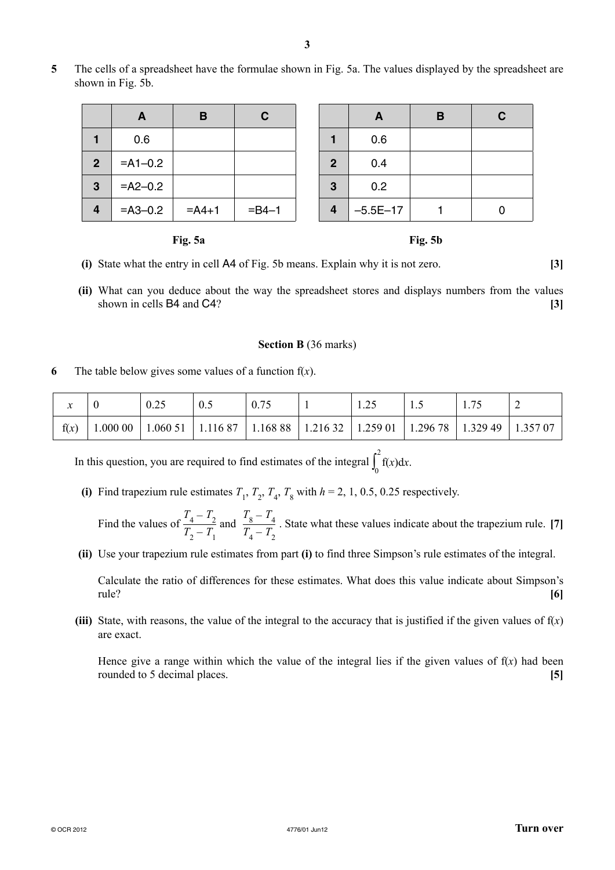**5** The cells of a spreadsheet have the formulae shown in Fig. 5a. The values displayed by the spreadsheet are shown in Fig. 5b.

|                | A            | B        | C           |                | A          | В | C |
|----------------|--------------|----------|-------------|----------------|------------|---|---|
|                | 0.6          |          |             |                | 0.6        |   |   |
| $\overline{2}$ | $= A1 - 0.2$ |          |             | $\overline{2}$ | 0.4        |   |   |
| 3              | $=$ A2-0.2   |          |             | 3              | 0.2        |   |   |
| 4              | $= A3 - 0.2$ | $= A4+1$ | $=$ B4 $-1$ | 4              | $-5.5E-17$ |   |   |



- **(i)** State what the entry in cell A4 of Fig. 5b means. Explain why it is not zero. **[3]**
- **(ii)** What can you deduce about the way the spreadsheet stores and displays numbers from the values shown in cells B4 and C4? **[3]**

#### **Section B** (36 marks)

**6** The table below gives some values of a function  $f(x)$ .

| $\bullet$<br>∼ |                        | 0.25 | 0.5 |  |                                                      | ن .                            |  |
|----------------|------------------------|------|-----|--|------------------------------------------------------|--------------------------------|--|
| f(x)           | $1.00000$ <sup>1</sup> |      |     |  | 1.060 51   1.116 87   1.168 88   1.216 32   1.259 01 | 1.296 78   1.329 49   1.357 07 |  |

In this question, you are required to find estimates of the integral  $\int_0^2$  $\int_0^{\infty} f(x) dx$ .

(i) Find trapezium rule estimates  $T_1$ ,  $T_2$ ,  $T_4$ ,  $T_8$  with  $h = 2, 1, 0.5, 0.25$  respectively.

Find the values of  $\frac{T_4 - T_2}{T_1 - T_1}$  $\frac{T_4 - T_2}{T_2 - T_1}$  and  $\frac{T_8 - T_4}{T_4 - T_2}$  $\frac{8}{T_4 - T_2}$ . State what these values indicate about the trapezium rule. [7]

 **(ii)** Use your trapezium rule estimates from part **(i)** to find three Simpson's rule estimates of the integral.

Calculate the ratio of differences for these estimates. What does this value indicate about Simpson's rule? **[6]**

**(iii)** State, with reasons, the value of the integral to the accuracy that is justified if the given values of  $f(x)$ are exact.

Hence give a range within which the value of the integral lies if the given values of  $f(x)$  had been rounded to 5 decimal places. **[5]**